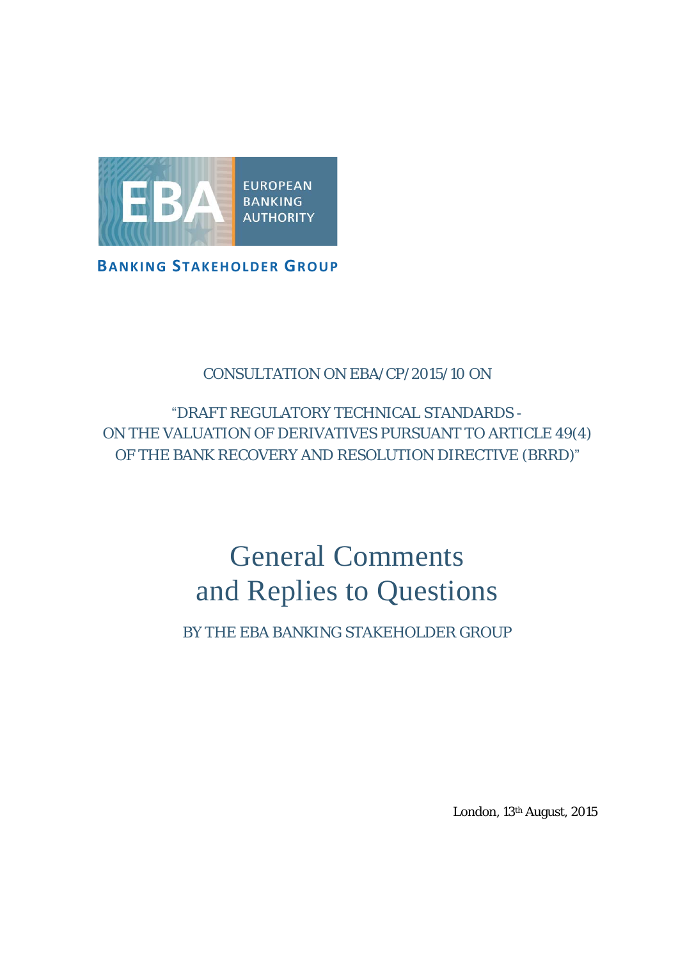

### CONSULTATION ON EBA/CP/2015/10 ON

"DRAFT REGULATORY TECHNICAL STANDARDS - ON THE VALUATION OF DERIVATIVES PURSUANT TO ARTICLE 49(4) OF THE BANK RECOVERY AND RESOLUTION DIRECTIVE (BRRD)"

# General Comments and Replies to Questions

BY THE EBA BANKING STAKEHOLDER GROUP

London, 13th August, 2015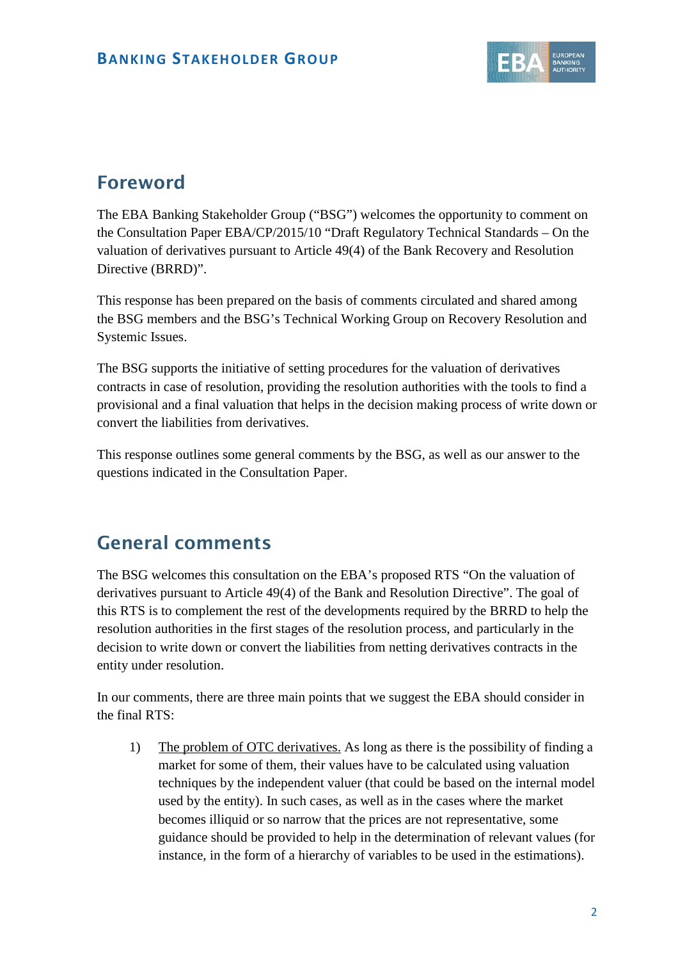

## Foreword

The EBA Banking Stakeholder Group ("BSG") welcomes the opportunity to comment on the Consultation Paper EBA/CP/2015/10 "Draft Regulatory Technical Standards – On the valuation of derivatives pursuant to Article 49(4) of the Bank Recovery and Resolution Directive (BRRD)".

This response has been prepared on the basis of comments circulated and shared among the BSG members and the BSG's Technical Working Group on Recovery Resolution and Systemic Issues.

The BSG supports the initiative of setting procedures for the valuation of derivatives contracts in case of resolution, providing the resolution authorities with the tools to find a provisional and a final valuation that helps in the decision making process of write down or convert the liabilities from derivatives.

This response outlines some general comments by the BSG, as well as our answer to the questions indicated in the Consultation Paper.

## General comments

The BSG welcomes this consultation on the EBA's proposed RTS "On the valuation of derivatives pursuant to Article 49(4) of the Bank and Resolution Directive". The goal of this RTS is to complement the rest of the developments required by the BRRD to help the resolution authorities in the first stages of the resolution process, and particularly in the decision to write down or convert the liabilities from netting derivatives contracts in the entity under resolution.

In our comments, there are three main points that we suggest the EBA should consider in the final RTS:

1) The problem of OTC derivatives. As long as there is the possibility of finding a market for some of them, their values have to be calculated using valuation techniques by the independent valuer (that could be based on the internal model used by the entity). In such cases, as well as in the cases where the market becomes illiquid or so narrow that the prices are not representative, some guidance should be provided to help in the determination of relevant values (for instance, in the form of a hierarchy of variables to be used in the estimations).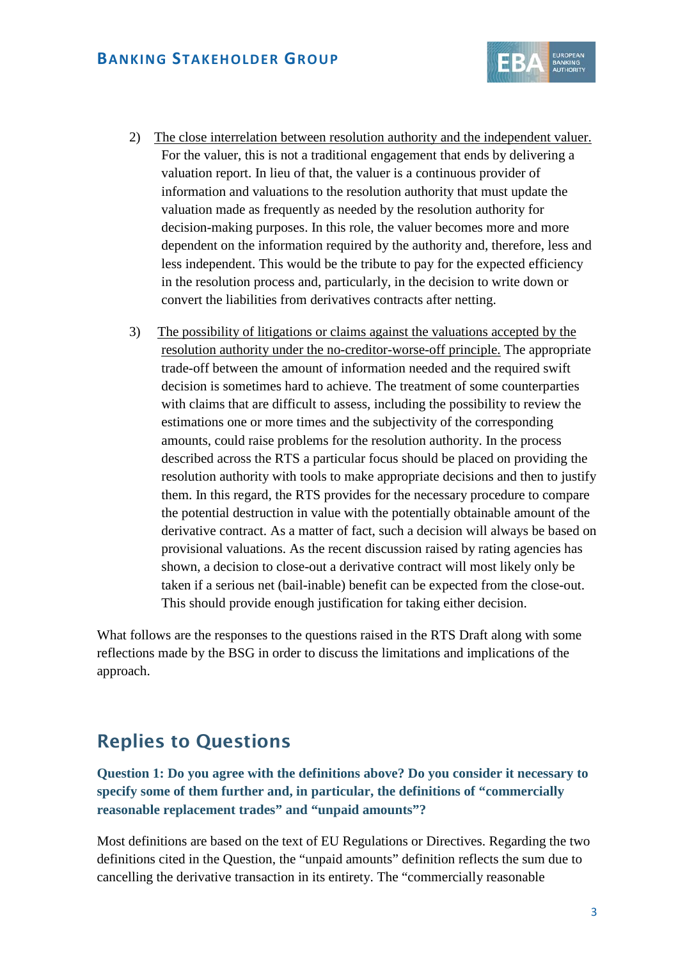

- 2) The close interrelation between resolution authority and the independent valuer. For the valuer, this is not a traditional engagement that ends by delivering a valuation report. In lieu of that, the valuer is a continuous provider of information and valuations to the resolution authority that must update the valuation made as frequently as needed by the resolution authority for decision-making purposes. In this role, the valuer becomes more and more dependent on the information required by the authority and, therefore, less and less independent. This would be the tribute to pay for the expected efficiency in the resolution process and, particularly, in the decision to write down or convert the liabilities from derivatives contracts after netting.
- 3) The possibility of litigations or claims against the valuations accepted by the resolution authority under the no-creditor-worse-off principle. The appropriate trade-off between the amount of information needed and the required swift decision is sometimes hard to achieve. The treatment of some counterparties with claims that are difficult to assess, including the possibility to review the estimations one or more times and the subjectivity of the corresponding amounts, could raise problems for the resolution authority. In the process described across the RTS a particular focus should be placed on providing the resolution authority with tools to make appropriate decisions and then to justify them. In this regard, the RTS provides for the necessary procedure to compare the potential destruction in value with the potentially obtainable amount of the derivative contract. As a matter of fact, such a decision will always be based on provisional valuations. As the recent discussion raised by rating agencies has shown, a decision to close-out a derivative contract will most likely only be taken if a serious net (bail-inable) benefit can be expected from the close-out. This should provide enough justification for taking either decision.

What follows are the responses to the questions raised in the RTS Draft along with some reflections made by the BSG in order to discuss the limitations and implications of the approach.

## Replies to Questions

**Question 1: Do you agree with the definitions above? Do you consider it necessary to specify some of them further and, in particular, the definitions of "commercially reasonable replacement trades" and "unpaid amounts"?**

Most definitions are based on the text of EU Regulations or Directives. Regarding the two definitions cited in the Question, the "unpaid amounts" definition reflects the sum due to cancelling the derivative transaction in its entirety. The "commercially reasonable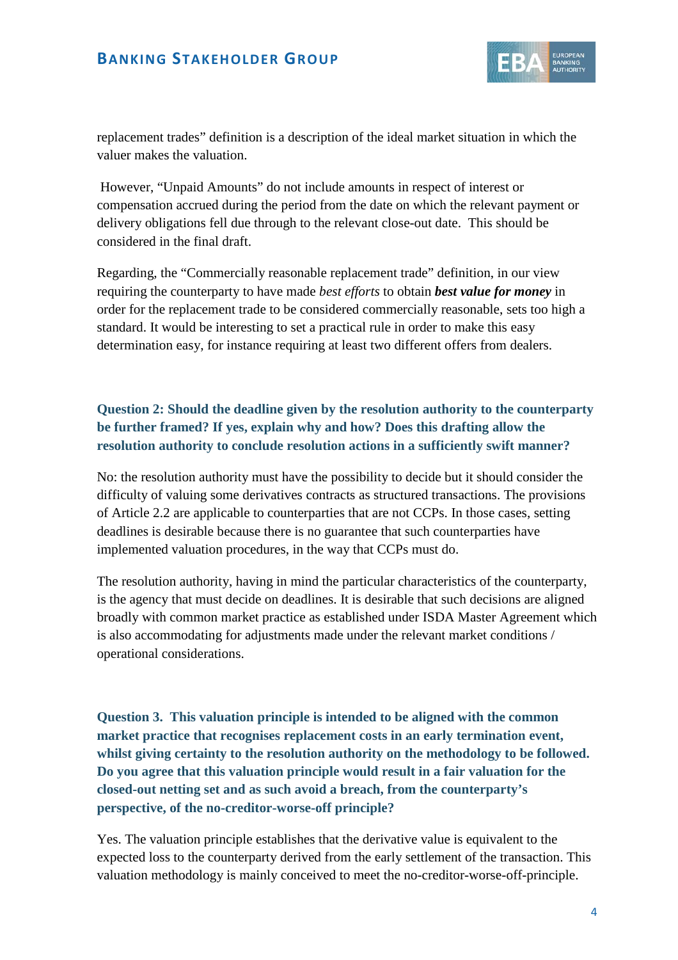

replacement trades" definition is a description of the ideal market situation in which the valuer makes the valuation.

However, "Unpaid Amounts" do not include amounts in respect of interest or compensation accrued during the period from the date on which the relevant payment or delivery obligations fell due through to the relevant close-out date. This should be considered in the final draft.

Regarding, the "Commercially reasonable replacement trade" definition, in our view requiring the counterparty to have made *best efforts* to obtain *best value for money* in order for the replacement trade to be considered commercially reasonable, sets too high a standard. It would be interesting to set a practical rule in order to make this easy determination easy, for instance requiring at least two different offers from dealers.

#### **Question 2: Should the deadline given by the resolution authority to the counterparty be further framed? If yes, explain why and how? Does this drafting allow the resolution authority to conclude resolution actions in a sufficiently swift manner?**

No: the resolution authority must have the possibility to decide but it should consider the difficulty of valuing some derivatives contracts as structured transactions. The provisions of Article 2.2 are applicable to counterparties that are not CCPs. In those cases, setting deadlines is desirable because there is no guarantee that such counterparties have implemented valuation procedures, in the way that CCPs must do.

The resolution authority, having in mind the particular characteristics of the counterparty, is the agency that must decide on deadlines. It is desirable that such decisions are aligned broadly with common market practice as established under ISDA Master Agreement which is also accommodating for adjustments made under the relevant market conditions / operational considerations.

**Question 3. This valuation principle is intended to be aligned with the common market practice that recognises replacement costs in an early termination event, whilst giving certainty to the resolution authority on the methodology to be followed. Do you agree that this valuation principle would result in a fair valuation for the closed-out netting set and as such avoid a breach, from the counterparty's perspective, of the no-creditor-worse-off principle?**

Yes. The valuation principle establishes that the derivative value is equivalent to the expected loss to the counterparty derived from the early settlement of the transaction. This valuation methodology is mainly conceived to meet the no-creditor-worse-off-principle.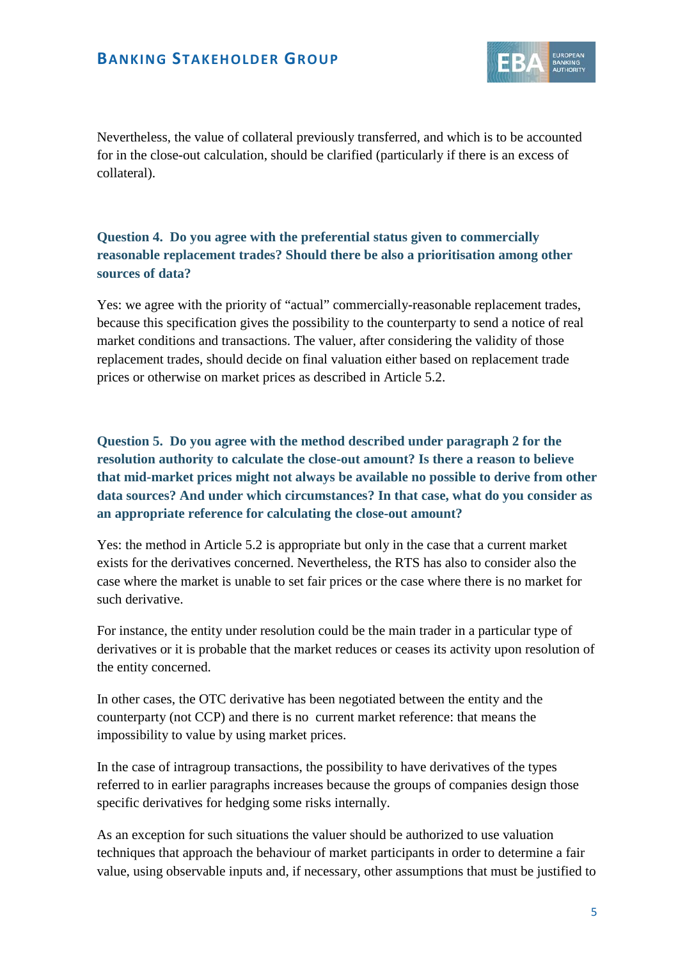

Nevertheless, the value of collateral previously transferred, and which is to be accounted for in the close-out calculation, should be clarified (particularly if there is an excess of collateral).

#### **Question 4. Do you agree with the preferential status given to commercially reasonable replacement trades? Should there be also a prioritisation among other sources of data?**

Yes: we agree with the priority of "actual" commercially-reasonable replacement trades, because this specification gives the possibility to the counterparty to send a notice of real market conditions and transactions. The valuer, after considering the validity of those replacement trades, should decide on final valuation either based on replacement trade prices or otherwise on market prices as described in Article 5.2.

**Question 5. Do you agree with the method described under paragraph 2 for the resolution authority to calculate the close-out amount? Is there a reason to believe that mid-market prices might not always be available no possible to derive from other data sources? And under which circumstances? In that case, what do you consider as an appropriate reference for calculating the close-out amount?**

Yes: the method in Article 5.2 is appropriate but only in the case that a current market exists for the derivatives concerned. Nevertheless, the RTS has also to consider also the case where the market is unable to set fair prices or the case where there is no market for such derivative.

For instance, the entity under resolution could be the main trader in a particular type of derivatives or it is probable that the market reduces or ceases its activity upon resolution of the entity concerned.

In other cases, the OTC derivative has been negotiated between the entity and the counterparty (not CCP) and there is no current market reference: that means the impossibility to value by using market prices.

In the case of intragroup transactions, the possibility to have derivatives of the types referred to in earlier paragraphs increases because the groups of companies design those specific derivatives for hedging some risks internally.

As an exception for such situations the valuer should be authorized to use valuation techniques that approach the behaviour of market participants in order to determine a fair value, using observable inputs and, if necessary, other assumptions that must be justified to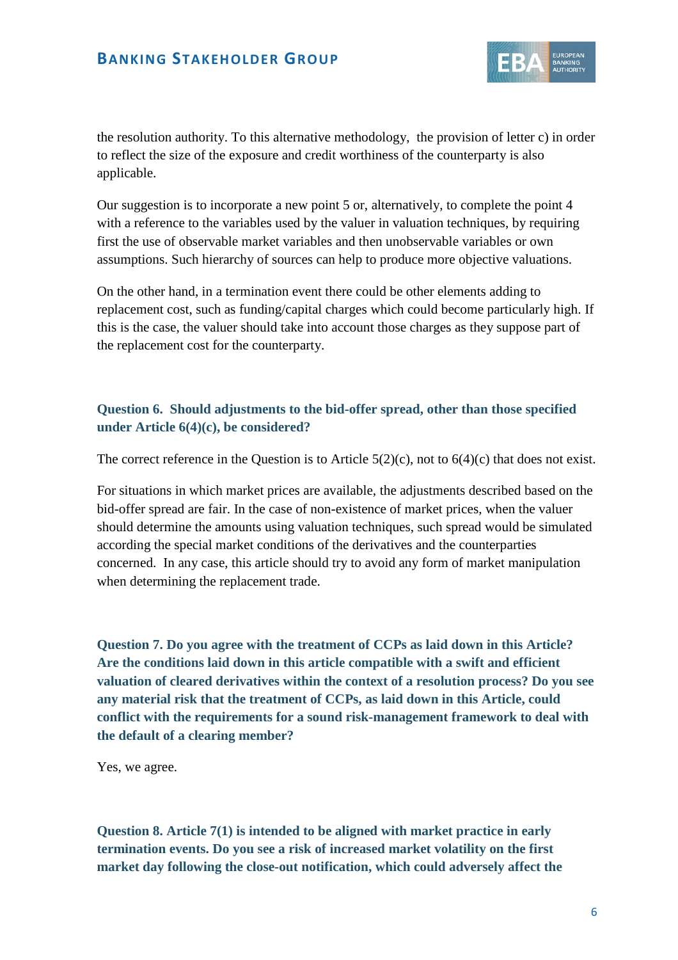

the resolution authority. To this alternative methodology, the provision of letter c) in order to reflect the size of the exposure and credit worthiness of the counterparty is also applicable.

Our suggestion is to incorporate a new point 5 or, alternatively, to complete the point 4 with a reference to the variables used by the valuer in valuation techniques, by requiring first the use of observable market variables and then unobservable variables or own assumptions. Such hierarchy of sources can help to produce more objective valuations.

On the other hand, in a termination event there could be other elements adding to replacement cost, such as funding/capital charges which could become particularly high. If this is the case, the valuer should take into account those charges as they suppose part of the replacement cost for the counterparty.

#### **Question 6. Should adjustments to the bid-offer spread, other than those specified under Article 6(4)(c), be considered?**

The correct reference in the Question is to Article  $5(2)(c)$ , not to  $6(4)(c)$  that does not exist.

For situations in which market prices are available, the adjustments described based on the bid-offer spread are fair. In the case of non-existence of market prices, when the valuer should determine the amounts using valuation techniques, such spread would be simulated according the special market conditions of the derivatives and the counterparties concerned. In any case, this article should try to avoid any form of market manipulation when determining the replacement trade.

**Question 7. Do you agree with the treatment of CCPs as laid down in this Article? Are the conditions laid down in this article compatible with a swift and efficient valuation of cleared derivatives within the context of a resolution process? Do you see any material risk that the treatment of CCPs, as laid down in this Article, could conflict with the requirements for a sound risk-management framework to deal with the default of a clearing member?**

Yes, we agree.

**Question 8. Article 7(1) is intended to be aligned with market practice in early termination events. Do you see a risk of increased market volatility on the first market day following the close-out notification, which could adversely affect the**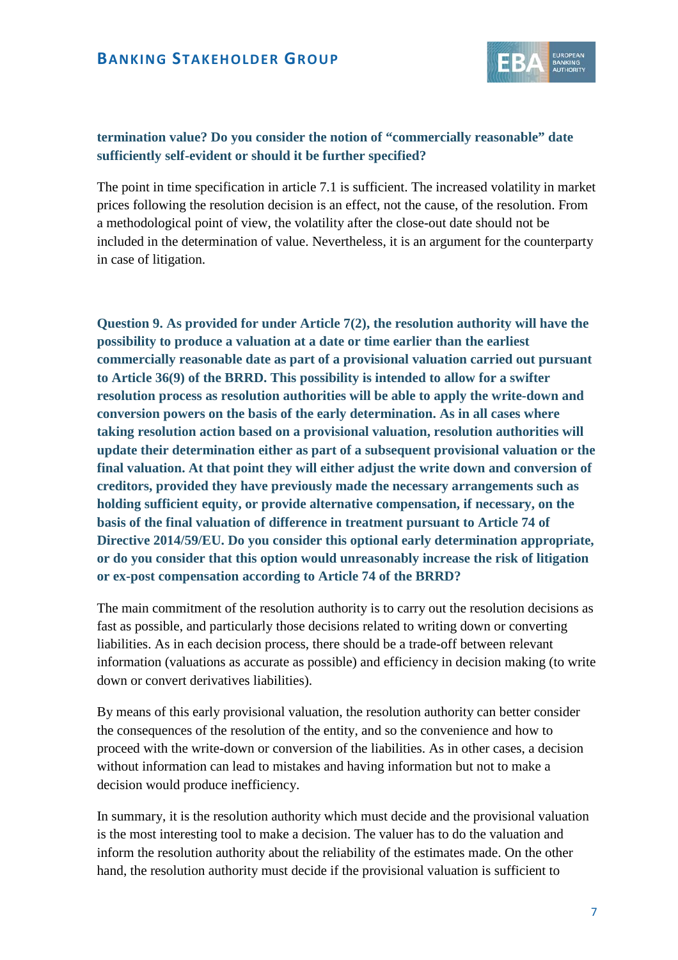

#### **termination value? Do you consider the notion of "commercially reasonable" date sufficiently self-evident or should it be further specified?**

The point in time specification in article 7.1 is sufficient. The increased volatility in market prices following the resolution decision is an effect, not the cause, of the resolution. From a methodological point of view, the volatility after the close-out date should not be included in the determination of value. Nevertheless, it is an argument for the counterparty in case of litigation.

**Question 9. As provided for under Article 7(2), the resolution authority will have the possibility to produce a valuation at a date or time earlier than the earliest commercially reasonable date as part of a provisional valuation carried out pursuant to Article 36(9) of the BRRD. This possibility is intended to allow for a swifter resolution process as resolution authorities will be able to apply the write-down and conversion powers on the basis of the early determination. As in all cases where taking resolution action based on a provisional valuation, resolution authorities will update their determination either as part of a subsequent provisional valuation or the final valuation. At that point they will either adjust the write down and conversion of creditors, provided they have previously made the necessary arrangements such as holding sufficient equity, or provide alternative compensation, if necessary, on the basis of the final valuation of difference in treatment pursuant to Article 74 of Directive 2014/59/EU. Do you consider this optional early determination appropriate, or do you consider that this option would unreasonably increase the risk of litigation or ex-post compensation according to Article 74 of the BRRD?**

The main commitment of the resolution authority is to carry out the resolution decisions as fast as possible, and particularly those decisions related to writing down or converting liabilities. As in each decision process, there should be a trade-off between relevant information (valuations as accurate as possible) and efficiency in decision making (to write down or convert derivatives liabilities).

By means of this early provisional valuation, the resolution authority can better consider the consequences of the resolution of the entity, and so the convenience and how to proceed with the write-down or conversion of the liabilities. As in other cases, a decision without information can lead to mistakes and having information but not to make a decision would produce inefficiency.

In summary, it is the resolution authority which must decide and the provisional valuation is the most interesting tool to make a decision. The valuer has to do the valuation and inform the resolution authority about the reliability of the estimates made. On the other hand, the resolution authority must decide if the provisional valuation is sufficient to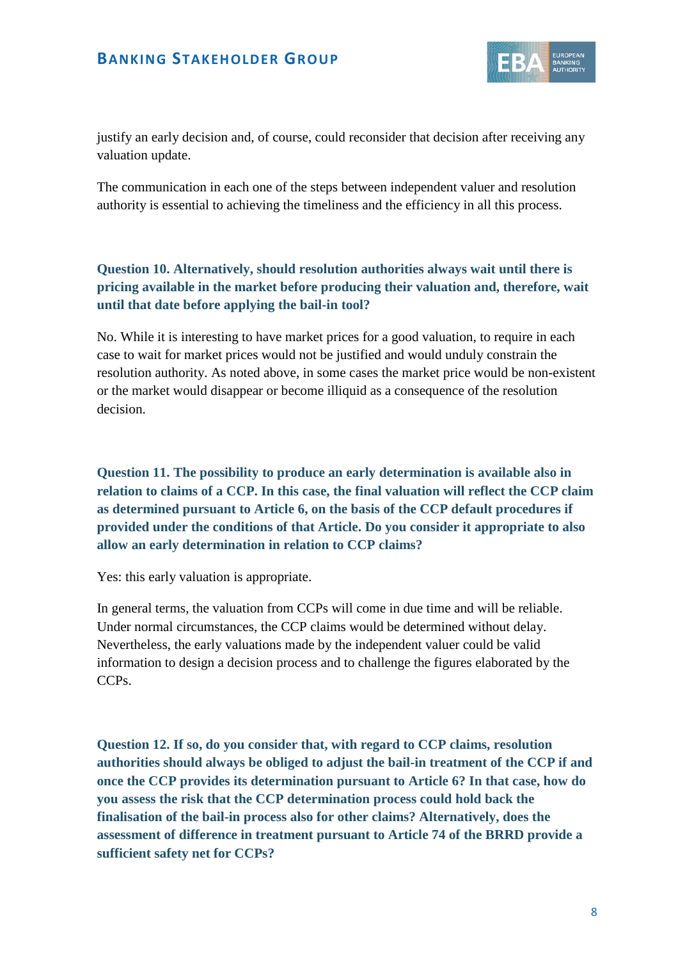

justify an early decision and, of course, could reconsider that decision after receiving any valuation update.

The communication in each one of the steps between independent valuer and resolution authority is essential to achieving the timeliness and the efficiency in all this process.

#### **Question 10. Alternatively, should resolution authorities always wait until there is pricing available in the market before producing their valuation and, therefore, wait until that date before applying the bail-in tool?**

No. While it is interesting to have market prices for a good valuation, to require in each case to wait for market prices would not be justified and would unduly constrain the resolution authority. As noted above, in some cases the market price would be non-existent or the market would disappear or become illiquid as a consequence of the resolution decision.

**Question 11. The possibility to produce an early determination is available also in relation to claims of a CCP. In this case, the final valuation will reflect the CCP claim as determined pursuant to Article 6, on the basis of the CCP default procedures if provided under the conditions of that Article. Do you consider it appropriate to also allow an early determination in relation to CCP claims?**

Yes: this early valuation is appropriate.

In general terms, the valuation from CCPs will come in due time and will be reliable. Under normal circumstances, the CCP claims would be determined without delay. Nevertheless, the early valuations made by the independent valuer could be valid information to design a decision process and to challenge the figures elaborated by the CCPs.

**Question 12. If so, do you consider that, with regard to CCP claims, resolution authorities should always be obliged to adjust the bail-in treatment of the CCP if and once the CCP provides its determination pursuant to Article 6? In that case, how do you assess the risk that the CCP determination process could hold back the finalisation of the bail-in process also for other claims? Alternatively, does the assessment of difference in treatment pursuant to Article 74 of the BRRD provide a sufficient safety net for CCPs?**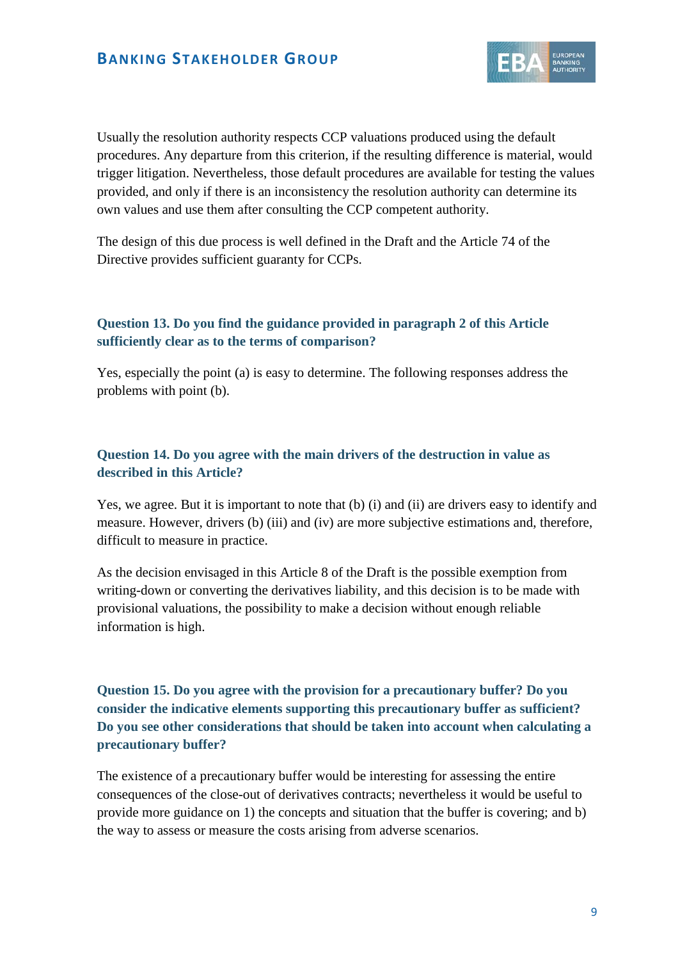

Usually the resolution authority respects CCP valuations produced using the default procedures. Any departure from this criterion, if the resulting difference is material, would trigger litigation. Nevertheless, those default procedures are available for testing the values provided, and only if there is an inconsistency the resolution authority can determine its own values and use them after consulting the CCP competent authority.

The design of this due process is well defined in the Draft and the Article 74 of the Directive provides sufficient guaranty for CCPs.

#### **Question 13. Do you find the guidance provided in paragraph 2 of this Article sufficiently clear as to the terms of comparison?**

Yes, especially the point (a) is easy to determine. The following responses address the problems with point (b).

#### **Question 14. Do you agree with the main drivers of the destruction in value as described in this Article?**

Yes, we agree. But it is important to note that (b) (i) and (ii) are drivers easy to identify and measure. However, drivers (b) (iii) and (iv) are more subjective estimations and, therefore, difficult to measure in practice.

As the decision envisaged in this Article 8 of the Draft is the possible exemption from writing-down or converting the derivatives liability, and this decision is to be made with provisional valuations, the possibility to make a decision without enough reliable information is high.

#### **Question 15. Do you agree with the provision for a precautionary buffer? Do you consider the indicative elements supporting this precautionary buffer as sufficient? Do you see other considerations that should be taken into account when calculating a precautionary buffer?**

The existence of a precautionary buffer would be interesting for assessing the entire consequences of the close-out of derivatives contracts; nevertheless it would be useful to provide more guidance on 1) the concepts and situation that the buffer is covering; and b) the way to assess or measure the costs arising from adverse scenarios.